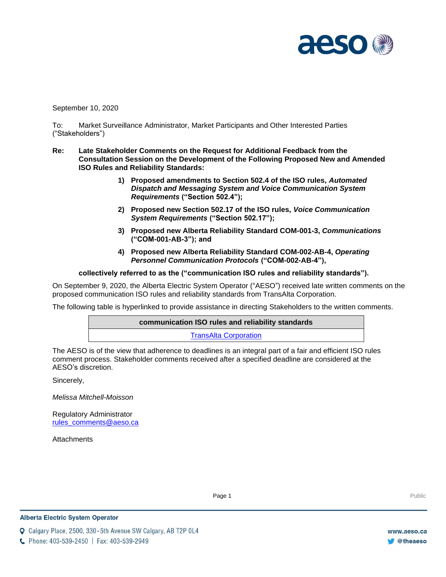

September 10, 2020

To: Market Surveillance Administrator, Market Participants and Other Interested Parties ("Stakeholders")

- **Re: Late Stakeholder Comments on the Request for Additional Feedback from the Consultation Session on the Development of the Following Proposed New and Amended ISO Rules and Reliability Standards:**
	- **1) Proposed amendments to Section 502.4 of the ISO rules,** *Automated Dispatch and Messaging System and Voice Communication System Requirements* **("Section 502.4");**
	- **2) Proposed new Section 502.17 of the ISO rules,** *Voice Communication System Requirements* **("Section 502.17");**
	- **3) Proposed new Alberta Reliability Standard COM-001-3,** *Communications* **("COM-001-AB-3"); and**
	- **4) Proposed new Alberta Reliability Standard COM-002-AB-4,** *Operating Personnel Communication Protocols* **("COM-002-AB-4"),**

**collectively referred to as the ("communication ISO rules and reliability standards").**

On September 9, 2020, the Alberta Electric System Operator ("AESO") received late written comments on the proposed communication ISO rules and reliability standards from TransAlta Corporation.

The following table is hyperlinked to provide assistance in directing Stakeholders to the written comments.

**communication ISO rules and reliability standards** [TransAlta Corporation](#page-1-0)

The AESO is of the view that adherence to deadlines is an integral part of a fair and efficient ISO rules comment process. Stakeholder comments received after a specified deadline are considered at the AESO's discretion.

Sincerely,

*Melissa Mitchell-Moisson*

Regulatory Administrator [rules\\_comments@aeso.ca](mailto:rules_comments@aeso.ca)

**Attachments** 

Page 1 Public Page 1 Public Public Public Public Public Public Public Public Public Public Public Public Public Public Public Public Public Public Public Public Public Public Public Public Public Public Public Public Publi

**Q** Calgary Place, 2500, 330-5th Avenue SW Calgary, AB T2P 0L4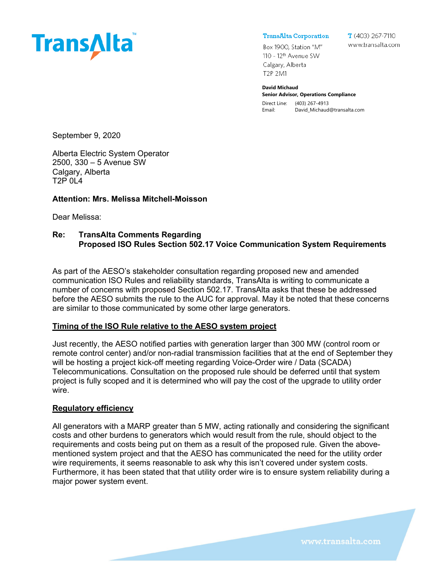<span id="page-1-0"></span>

**TransAlta Corporation** 

 $T(403)$  267-7110 www.transalta.com

Box 1900, Station "M" 110 - 12<sup>th</sup> Avenue SW Calgary, Alberta T2P 2M1

**David Michaud Senior Advisor, Operations Compliance** Direct Line: (403) 267-4913 Email: David\_Michaud@transalta.com

September 9, 2020

Alberta Electric System Operator 2500, 330 – 5 Avenue SW Calgary, Alberta T2P 0L4

### **Attention: Mrs. Melissa Mitchell-Moisson**

Dear Melissa:

### **Re: TransAlta Comments Regarding Proposed ISO Rules Section 502.17 Voice Communication System Requirements**

As part of the AESO's stakeholder consultation regarding proposed new and amended communication ISO Rules and reliability standards, TransAlta is writing to communicate a number of concerns with proposed Section 502.17. TransAlta asks that these be addressed before the AESO submits the rule to the AUC for approval. May it be noted that these concerns are similar to those communicated by some other large generators.

### **Timing of the ISO Rule relative to the AESO system project**

Just recently, the AESO notified parties with generation larger than 300 MW (control room or remote control center) and/or non-radial transmission facilities that at the end of September they will be hosting a project kick-off meeting regarding Voice-Order wire / Data (SCADA) Telecommunications. Consultation on the proposed rule should be deferred until that system project is fully scoped and it is determined who will pay the cost of the upgrade to utility order wire.

### **Regulatory efficiency**

All generators with a MARP greater than 5 MW, acting rationally and considering the significant costs and other burdens to generators which would result from the rule, should object to the requirements and costs being put on them as a result of the proposed rule. Given the abovementioned system project and that the AESO has communicated the need for the utility order wire requirements, it seems reasonable to ask why this isn't covered under system costs. Furthermore, it has been stated that that utility order wire is to ensure system reliability during a major power system event.